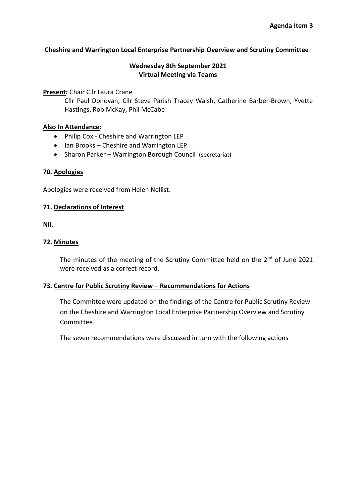## **Cheshire and Warrington Local Enterprise Partnership Overview and Scrutiny Committee**

# **Wednesday 8th September 2021 Virtual Meeting via Teams**

**Present:** Chair Cllr Laura Crane

Cllr Paul Donovan, Cllr Steve Parish Tracey Walsh, Catherine Barber-Brown, Yvette Hastings, Rob McKay, Phil McCabe

#### **Also In Attendance:**

- Philip Cox Cheshire and Warrington LEP
- Ian Brooks Cheshire and Warrington LEP
- Sharon Parker Warrington Borough Council (secretariat)

# **70. Apologies**

Apologies were received from Helen Nellist.

## **71. Declarations of Interest**

**Nil.** 

## **72. Minutes**

The minutes of the meeting of the Scrutiny Committee held on the 2<sup>nd</sup> of June 2021 were received as a correct record.

# **73. Centre for Public Scrutiny Review – Recommendations for Actions**

The Committee were updated on the findings of the Centre for Public Scrutiny Review on the Cheshire and Warrington Local Enterprise Partnership Overview and Scrutiny Committee.

The seven recommendations were discussed in turn with the following actions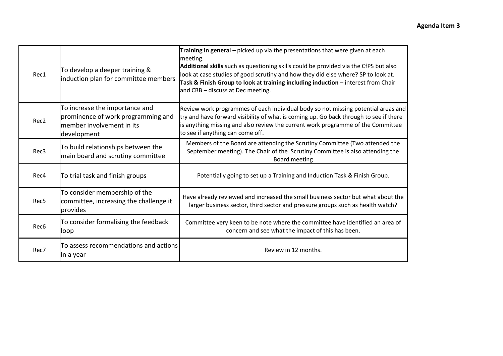|  | Rec1             | To develop a deeper training &<br>induction plan for committee members                                           | Training in general - picked up via the presentations that were given at each<br>meeting.<br>Additional skills such as questioning skills could be provided via the CfPS but also<br>look at case studies of good scrutiny and how they did else where? SP to look at.<br>Task & Finish Group to look at training including induction - interest from Chair<br>and CBB - discuss at Dec meeting. |
|--|------------------|------------------------------------------------------------------------------------------------------------------|--------------------------------------------------------------------------------------------------------------------------------------------------------------------------------------------------------------------------------------------------------------------------------------------------------------------------------------------------------------------------------------------------|
|  | Rec <sub>2</sub> | To increase the importance and<br>prominence of work programming and<br>member involvement in its<br>development | Review work programmes of each individual body so not missing potential areas and<br>try and have forward visibility of what is coming up. Go back through to see if there<br>is anything missing and also review the current work programme of the Committee<br>to see if anything can come off.                                                                                                |
|  | Rec3             | To build relationships between the<br>main board and scrutiny committee                                          | Members of the Board are attending the Scrutiny Committee (Two attended the<br>September meeting). The Chair of the Scrutiny Committee is also attending the<br><b>Board meeting</b>                                                                                                                                                                                                             |
|  | Rec4             | To trial task and finish groups                                                                                  | Potentially going to set up a Training and Induction Task & Finish Group.                                                                                                                                                                                                                                                                                                                        |
|  | Rec5             | To consider membership of the<br>committee, increasing the challenge it<br>provides                              | Have already reviewed and increased the small business sector but what about the<br>larger business sector, third sector and pressure groups such as health watch?                                                                                                                                                                                                                               |
|  | Rec <sub>6</sub> | To consider formalising the feedback<br>loop                                                                     | Committee very keen to be note where the committee have identified an area of<br>concern and see what the impact of this has been.                                                                                                                                                                                                                                                               |
|  | Rec7             | To assess recommendations and actions<br>in a year                                                               | Review in 12 months.                                                                                                                                                                                                                                                                                                                                                                             |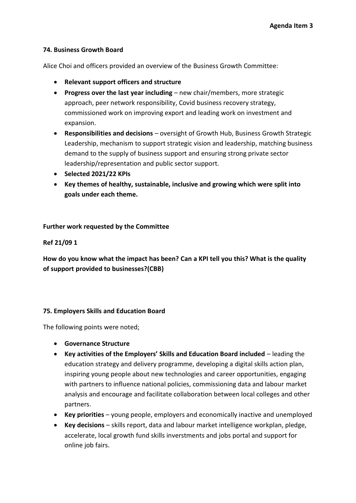## **74. Business Growth Board**

Alice Choi and officers provided an overview of the Business Growth Committee:

- **Relevant support officers and structure**
- **Progress over the last year including** new chair/members, more strategic approach, peer network responsibility, Covid business recovery strategy, commissioned work on improving export and leading work on investment and expansion.
- **Responsibilities and decisions**  oversight of Growth Hub, Business Growth Strategic Leadership, mechanism to support strategic vision and leadership, matching business demand to the supply of business support and ensuring strong private sector leadership/representation and public sector support.
- **Selected 2021/22 KPIs**
- **Key themes of healthy, sustainable, inclusive and growing which were split into goals under each theme.**

**Further work requested by the Committee**

**Ref 21/09 1**

**How do you know what the impact has been? Can a KPI tell you this? What is the quality of support provided to businesses?(CBB)** 

# **75. Employers Skills and Education Board**

The following points were noted;

- **Governance Structure**
- **Key activities of the Employers' Skills and Education Board included** leading the education strategy and delivery programme, developing a digital skills action plan, inspiring young people about new technologies and career opportunities, engaging with partners to influence national policies, commissioning data and labour market analysis and encourage and facilitate collaboration between local colleges and other partners.
- **Key priorities**  young people, employers and economically inactive and unemployed
- **Key decisions**  skills report, data and labour market intelligence workplan, pledge, accelerate, local growth fund skills inverstments and jobs portal and support for online job fairs.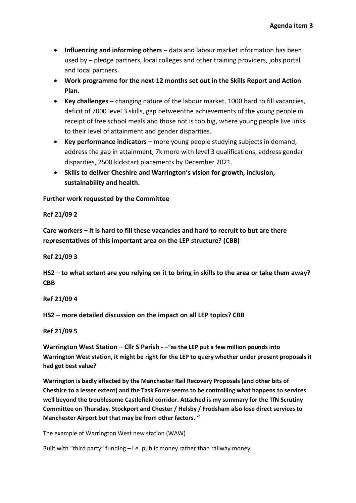- **Influencing and informing others**  data and labour market information has been used by – pledge partners, local colleges and other training providers, jobs portal and local partners.
- **Work programme for the next 12 months set out in the Skills Report and Action Plan.**
- **Key challenges –** changing nature of the labour market, 1000 hard to fill vacancies, deficit of 7000 level 3 skills, gap betweenthe achievements of the young people in receipt of free school meals and those not is too big, where young people live links to their level of attainment and gender disparities.
- **Key performance indicators –** more young people studying subjects in demand, address the gap in attainment, 7k more with level 3 qualifications, address gender disparities, 2500 kickstart placements by December 2021.
- **Skills to deliver Cheshire and Warrington's vision for growth, inclusion, sustainability and health.**

**Further work requested by the Committee**

**Ref 21/09 2**

**Care workers – it is hard to fill these vacancies and hard to recruit to but are there representatives of this important area on the LEP structure? (CBB)** 

**Ref 21/09 3**

**HS2 – to what extent are you relying on it to bring in skills to the area or take them away? CBB**

**Ref 21/09 4**

**HS2 – more detailed discussion on the impact on all LEP topics? CBB**

**Ref 21/09 5**

**Warrington West Station – Cllr S Parish - –"as the LEP put a few million pounds into Warrington West station, it might be right for the LEP to query whether under present proposals it had got best value?**

**Warrington is badly affected by the Manchester Rail Recovery Proposals (and other bits of Cheshire to a lesser extent) and the Task Force seems to be controlling what happens to services well beyond the troublesome Castlefield corridor. Attached is my summary for the TfN Scrutiny Committee on Thursday. Stockport and Chester / Helsby / Frodsham also lose direct services to Manchester Airport but that may be from other factors. "**

The example of Warrington West new station (WAW)

Built with "third party" funding – i.e. public money rather than railway money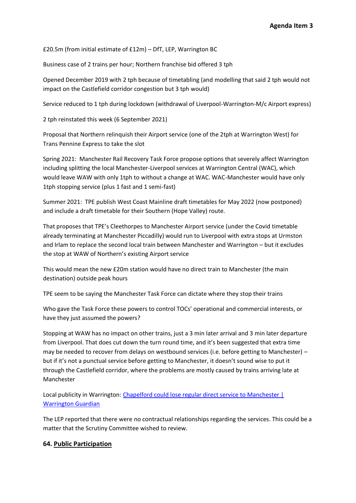£20.5m (from initial estimate of £12m) – DfT, LEP, Warrington BC

Business case of 2 trains per hour; Northern franchise bid offered 3 tph

Opened December 2019 with 2 tph because of timetabling (and modelling that said 2 tph would not impact on the Castlefield corridor congestion but 3 tph would)

Service reduced to 1 tph during lockdown (withdrawal of Liverpool-Warrington-M/c Airport express)

2 tph reinstated this week (6 September 2021)

Proposal that Northern relinquish their Airport service (one of the 2tph at Warrington West) for Trans Pennine Express to take the slot

Spring 2021: Manchester Rail Recovery Task Force propose options that severely affect Warrington including splitting the local Manchester-Liverpool services at Warrington Central (WAC), which would leave WAW with only 1tph to without a change at WAC. WAC-Manchester would have only 1tph stopping service (plus 1 fast and 1 semi-fast)

Summer 2021: TPE publish West Coast Mainline draft timetables for May 2022 (now postponed) and include a draft timetable for their Southern (Hope Valley) route.

That proposes that TPE's Cleethorpes to Manchester Airport service (under the Covid timetable already terminating at Manchester Piccadilly) would run to Liverpool with extra stops at Urmston and Irlam to replace the second local train between Manchester and Warrington – but it excludes the stop at WAW of Northern's existing Airport service

This would mean the new £20m station would have no direct train to Manchester (the main destination) outside peak hours

TPE seem to be saying the Manchester Task Force can dictate where they stop their trains

Who gave the Task Force these powers to control TOCs' operational and commercial interests, or have they just assumed the powers?

Stopping at WAW has no impact on other trains, just a 3 min later arrival and 3 min later departure from Liverpool. That does cut down the turn round time, and it's been suggested that extra time may be needed to recover from delays on westbound services (i.e. before getting to Manchester) – but if it's not a punctual service before getting to Manchester, it doesn't sound wise to put it through the Castlefield corridor, where the problems are mostly caused by trains arriving late at Manchester

Local publicity in Warrington: Chapelford could lose regular direct service to Manchester | Warrington Guardian

The LEP reported that there were no contractual relationships regarding the services. This could be a matter that the Scrutiny Committee wished to review.

#### **64. Public Participation**